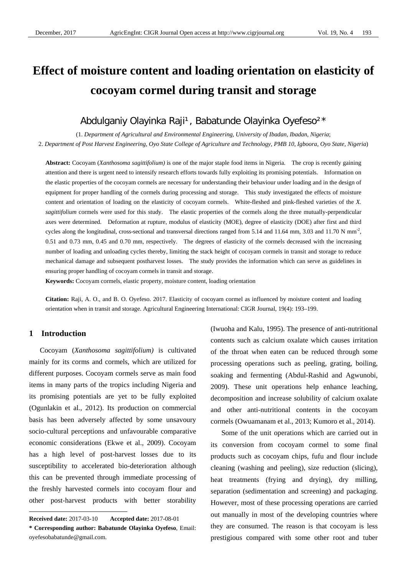# **Effect of moisture content and loading orientation on elasticity of cocoyam cormel during transit and storage**

# Abdulganiy Olayinka Raji<sup>1</sup>, Babatunde Olayinka Oyefeso<sup>2\*</sup>

(1. *Department of Agricultural and Environmental Engineering, University of Ibadan, Ibadan, Nigeria*; 2. *Department of Post Harvest Engineering, Oyo State College of Agriculture and Technology, PMB 10, Igboora, Oyo State, Nigeria*)

**Abstract:** Cocoyam (*Xanthosoma sagittifolium)* is one of the major staple food items in Nigeria. The crop is recently gaining attention and there is urgent need to intensify research efforts towards fully exploiting its promising potentials. Information on the elastic properties of the cocoyam cormels are necessary for understanding their behaviour under loading and in the design of equipment for proper handling of the cormels during processing and storage. This study investigated the effects of moisture content and orientation of loading on the elasticity of cocoyam cormels. White-fleshed and pink-fleshed varieties of the *X. sagittifolium* cormels were used for this study. The elastic properties of the cormels along the three mutually-perpendicular axes were determined. Deformation at rupture, modulus of elasticity (MOE), degree of elasticity (DOE) after first and third cycles along the longitudinal, cross-sectional and transversal directions ranged from 5.14 and 11.64 mm, 3.03 and 11.70 N mm<sup>-2</sup>, 0.51 and 0.73 mm, 0.45 and 0.70 mm, respectively. The degrees of elasticity of the cormels decreased with the increasing number of loading and unloading cycles thereby, limiting the stack height of cocoyam cormels in transit and storage to reduce mechanical damage and subsequent postharvest losses. The study provides the information which can serve as guidelines in ensuring proper handling of cocoyam cormels in transit and storage.

**Keywords:** Cocoyam cormels, elastic property, moisture content, loading orientation

**Citation:** Raji, A. O., and B. O. Oyefeso. 2017. Elasticity of cocoyam cormel as influenced by moisture content and loading orientation when in transit and storage. Agricultural Engineering International: CIGR Journal, 19(4): 193–199.

# **1 Introduction**

 $\overline{a}$ 

Cocoyam (*Xanthosoma sagittifolium)* is cultivated mainly for its corms and cormels, which are utilized for different purposes. Cocoyam cormels serve as main food items in many parts of the tropics including Nigeria and its promising potentials are yet to be fully exploited (Ogunlakin et al*.,* 2012). Its production on commercial basis has been adversely affected by some unsavoury socio-cultural perceptions and unfavourable comparative economic considerations (Ekwe et al., 2009). Cocoyam has a high level of post-harvest losses due to its susceptibility to accelerated bio-deterioration although this can be prevented through immediate processing of the freshly harvested cormels into cocoyam flour and other post-harvest products with better storability

(Iwuoha and Kalu, 1995). The presence of anti-nutritional contents such as calcium oxalate which causes irritation of the throat when eaten can be reduced through some processing operations such as peeling, grating, boiling, soaking and fermenting (Abdul-Rashid and Agwunobi, 2009). These unit operations help enhance leaching, decomposition and increase solubility of calcium oxalate and other anti-nutritional contents in the cocoyam cormels (Owuamanam et al., 2013; Kumoro et al., 2014).

Some of the unit operations which are carried out in its conversion from cocoyam cormel to some final products such as cocoyam chips, fufu and flour include cleaning (washing and peeling), size reduction (slicing), heat treatments (frying and drying), dry milling, separation (sedimentation and screening) and packaging. However, most of these processing operations are carried out manually in most of the developing countries where they are consumed. The reason is that cocoyam is less prestigious compared with some other root and tuber

**Received date:** 2017-03-10 **Accepted date:** 2017-08-01 **\* Corresponding author: Babatunde Olayinka Oyefeso**, Email: oyefesobabatunde@gmail.com.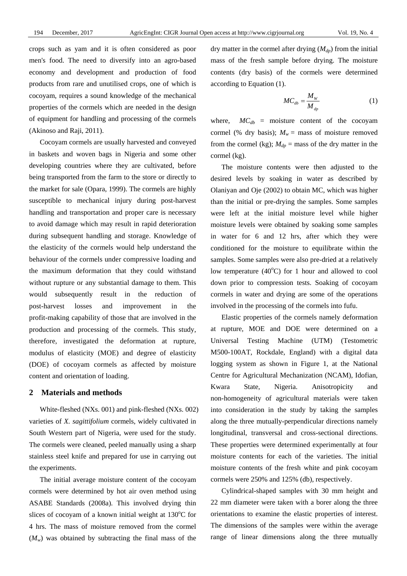crops such as yam and it is often considered as poor men's food. The need to diversify into an agro-based economy and development and production of food products from rare and unutilised crops, one of which is cocoyam, requires a sound knowledge of the mechanical properties of the cormels which are needed in the design of equipment for handling and processing of the cormels (Akinoso and Raji, 2011).

Cocoyam cormels are usually harvested and conveyed in baskets and woven bags in Nigeria and some other developing countries where they are cultivated, before being transported from the farm to the store or directly to the market for sale (Opara, 1999). The cormels are highly susceptible to mechanical injury during post-harvest handling and transportation and proper care is necessary to avoid damage which may result in rapid deterioration during subsequent handling and storage. Knowledge of the elasticity of the cormels would help understand the behaviour of the cormels under compressive loading and the maximum deformation that they could withstand without rupture or any substantial damage to them. This would subsequently result in the reduction of post-harvest losses and improvement in the profit-making capability of those that are involved in the production and processing of the cormels. This study, therefore, investigated the deformation at rupture, modulus of elasticity (MOE) and degree of elasticity (DOE) of cocoyam cormels as affected by moisture content and orientation of loading.

#### **2 Materials and methods**

White-fleshed (NXs. 001) and pink-fleshed (NXs. 002) varieties of *X. sagittifolium* cormels, widely cultivated in South Western part of Nigeria, were used for the study. The cormels were cleaned, peeled manually using a sharp stainless steel knife and prepared for use in carrying out the experiments.

The initial average moisture content of the cocoyam cormels were determined by hot air oven method using ASABE Standards (2008a). This involved drying thin slices of cocoyam of a known initial weight at  $130^{\circ}$ C for 4 hrs. The mass of moisture removed from the cormel  $(M_w)$  was obtained by subtracting the final mass of the

dry matter in the cormel after drying  $(M_{dp})$  from the initial mass of the fresh sample before drying. The moisture contents (dry basis) of the cormels were determined according to Equation (1).

$$
MC_{db} = \frac{M_{W}}{M_{dp}}
$$
 (1)

where,  $MC_{db}$  = moisture content of the cocoyam cormel (% dry basis);  $M_w =$  mass of moisture removed from the cormel (kg);  $M_{dp}$  = mass of the dry matter in the cormel (kg).

The moisture contents were then adjusted to the desired levels by soaking in water as described by Olaniyan and Oje (2002) to obtain MC, which was higher than the initial or pre-drying the samples. Some samples were left at the initial moisture level while higher moisture levels were obtained by soaking some samples in water for 6 and 12 hrs, after which they were conditioned for the moisture to equilibrate within the samples. Some samples were also pre-dried at a relatively low temperature  $(40^{\circ}C)$  for 1 hour and allowed to cool down prior to compression tests. Soaking of cocoyam cormels in water and drying are some of the operations involved in the processing of the cormels into fufu.

Elastic properties of the cormels namely deformation at rupture, MOE and DOE were determined on a Universal Testing Machine (UTM) (Testometric M500-100AT, Rockdale, England) with a digital data logging system as shown in Figure 1, at the National Centre for Agricultural Mechanization (NCAM), Idofian, Kwara State, Nigeria. Anisotropicity and non-homogeneity of agricultural materials were taken into consideration in the study by taking the samples along the three mutually-perpendicular directions namely longitudinal, transversal and cross-sectional directions. These properties were determined experimentally at four moisture contents for each of the varieties. The initial moisture contents of the fresh white and pink cocoyam cormels were 250% and 125% (db), respectively.

Cylindrical-shaped samples with 30 mm height and 22 mm diameter were taken with a borer along the three orientations to examine the elastic properties of interest. The dimensions of the samples were within the average range of linear dimensions along the three mutually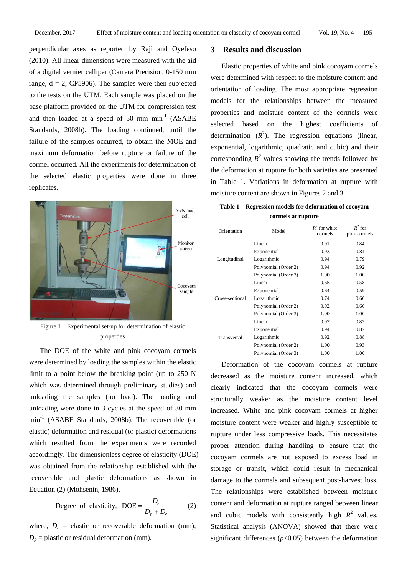perpendicular axes as reported by Raji and Oyefeso (2010). All linear dimensions were measured with the aid of a digital vernier calliper (Carrera Precision, 0-150 mm range,  $d = 2$ , CP5906). The samples were then subjected to the tests on the UTM. Each sample was placed on the base platform provided on the UTM for compression test and then loaded at a speed of 30 mm  $min^{-1}$  (ASABE Standards, 2008b). The loading continued, until the failure of the samples occurred, to obtain the MOE and maximum deformation before rupture or failure of the cormel occurred. All the experiments for determination of the selected elastic properties were done in three replicates.



Figure 1 Experimental set-up for determination of elastic properties

The DOE of the white and pink cocoyam cormels were determined by loading the samples within the elastic limit to a point below the breaking point (up to 250 N which was determined through preliminary studies) and unloading the samples (no load). The loading and unloading were done in 3 cycles at the speed of 30 mm min-1 (ASABE Standards, 2008b). The recoverable (or elastic) deformation and residual (or plastic) deformations which resulted from the experiments were recorded accordingly. The dimensionless degree of elasticity (DOE) was obtained from the relationship established with the recoverable and plastic deformations as shown in Equation (2) (Mohsenin, 1986).

Degree of elasticity, 
$$
DOE = \frac{D_e}{D_p + D_e}
$$
 (2)

where,  $D_e$  = elastic or recoverable deformation (mm);  $D_p$  = plastic or residual deformation (mm).

# **3 Results and discussion**

Elastic properties of white and pink cocoyam cormels were determined with respect to the moisture content and orientation of loading. The most appropriate regression models for the relationships between the measured properties and moisture content of the cormels were selected based on the highest coefficients of determination  $(R^2)$ . The regression equations (linear, exponential, logarithmic, quadratic and cubic) and their corresponding  $R^2$  values showing the trends followed by the deformation at rupture for both varieties are presented in Table 1. Variations in deformation at rupture with moisture content are shown in Figures 2 and 3.

| <b>Table 1</b> | Regression models for deformation of cocovam |
|----------------|----------------------------------------------|
|                | cormels at rupture                           |

| Model<br>Orientation |                      | $R^2$ for white<br>cormels | $R^2$ for<br>pink cormels |
|----------------------|----------------------|----------------------------|---------------------------|
|                      | Linear               | 0.91                       | 0.84                      |
|                      | Exponential          | 0.93                       | 0.84                      |
| Longitudinal         | Logarithmic          | 0.94                       | 0.79                      |
|                      | Polynomial (Order 2) | 0.94                       | 0.92                      |
|                      | Polynomial (Order 3) | 1.00                       | 1.00                      |
|                      | Linear               | 0.65                       | 0.58                      |
|                      | Exponential          | 0.64                       | 0.59                      |
| Cross-sectional      | Logarithmic          | 0.74                       | 0.60                      |
|                      | Polynomial (Order 2) | 0.92                       | 0.60                      |
|                      | Polynomial (Order 3) | 1.00                       | 1.00                      |
|                      | Linear               | 0.97                       | 0.82                      |
|                      | Exponential          | 0.94                       | 0.87                      |
| Transversal          | Logarithmic          | 0.92                       | 0.88                      |
|                      | Polynomial (Order 2) | 1.00                       | 0.93                      |
|                      | Polynomial (Order 3) | 1.00                       | 1.00                      |

Deformation of the cocoyam cormels at rupture decreased as the moisture content increased, which clearly indicated that the cocoyam cormels were structurally weaker as the moisture content level increased. White and pink cocoyam cormels at higher moisture content were weaker and highly susceptible to rupture under less compressive loads. This necessitates proper attention during handling to ensure that the cocoyam cormels are not exposed to excess load in storage or transit, which could result in mechanical damage to the cormels and subsequent post-harvest loss. The relationships were established between moisture content and deformation at rupture ranged between linear and cubic models with consistently high  $R^2$  values. Statistical analysis (ANOVA) showed that there were significant differences  $(p<0.05)$  between the deformation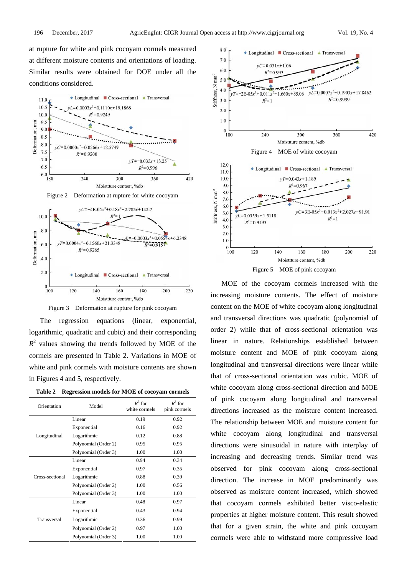at rupture for white and pink cocoyam cormels measured at different moisture contents and orientations of loading. Similar results were obtained for DOE under all the conditions considered.



The regression equations (linear, exponential,

logarithmic, quadratic and cubic) and their corresponding  $R<sup>2</sup>$  values showing the trends followed by MOE of the cormels are presented in Table 2. Variations in MOE of white and pink cormels with moisture contents are shown in Figures 4 and 5, respectively.

**Table 2 Regression models for MOE of cocoyam cormels** 

| Orientation<br>Model |                      | $R^2$ for<br>white cormels | $R^2$ for<br>pink cormels |
|----------------------|----------------------|----------------------------|---------------------------|
|                      | Linear               | 0.19                       | 0.92                      |
|                      | Exponential          | 0.16                       | 0.92                      |
| Longitudinal         | Logarithmic          | 0.12                       | 0.88                      |
|                      | Polynomial (Order 2) | 0.95                       | 0.95                      |
|                      | Polynomial (Order 3) | 1.00                       | 1.00                      |
|                      | Linear               | 0.94                       | 0.34                      |
|                      | Exponential          | 0.97                       | 0.35                      |
| Cross-sectional      | Logarithmic          | 0.88                       | 0.39                      |
|                      | Polynomial (Order 2) | 1.00                       | 0.56                      |
|                      | Polynomial (Order 3) | 1.00                       | 1.00                      |
|                      | Linear               | 0.48                       | 0.97                      |
|                      | Exponential          | 0.43                       | 0.94                      |
| Transversal          | Logarithmic          | 0.36                       | 0.99                      |
|                      | Polynomial (Order 2) | 0.97                       | 1.00                      |
|                      | Polynomial (Order 3) | 1.00                       | 1.00                      |



MOE of the cocoyam cormels increased with the increasing moisture contents. The effect of moisture content on the MOE of white cocoyam along longitudinal and transversal directions was quadratic (polynomial of order 2) while that of cross-sectional orientation was linear in nature. Relationships established between moisture content and MOE of pink cocoyam along longitudinal and transversal directions were linear while that of cross-sectional orientation was cubic. MOE of white cocoyam along cross-sectional direction and MOE of pink cocoyam along longitudinal and transversal directions increased as the moisture content increased. The relationship between MOE and moisture content for white cocoyam along longitudinal and transversal directions were sinusoidal in nature with interplay of increasing and decreasing trends. Similar trend was observed for pink cocoyam along cross-sectional direction. The increase in MOE predominantly was observed as moisture content increased, which showed that cocoyam cormels exhibited better visco-elastic properties at higher moisture content. This result showed that for a given strain, the white and pink cocoyam cormels were able to withstand more compressive load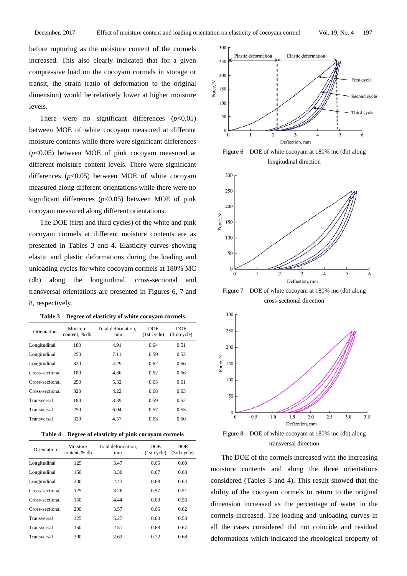before rupturing as the moisture content of the cormels increased. This also clearly indicated that for a given compressive load on the cocoyam cormels in storage or transit, the strain (ratio of deformation to the original dimension) would be relatively lower at higher moisture levels.

There were no significant differences  $(p<0.05)$ between MOE of white cocoyam measured at different moisture contents while there were significant differences (*p*<0.05) between MOE of pink cocoyam measured at different moisture content levels. There were significant differences (*p*<0.05) between MOE of white cocoyam measured along different orientations while there were no significant differences  $(p<0.05)$  between MOE of pink cocoyam measured along different orientations.

The DOE (first and third cycles) of the white and pink cocoyam cormels at different moisture contents are as presented in Tables 3 and 4. Elasticity curves showing elastic and plastic deformations during the loading and unloading cycles for white cocoyam cormels at 180% MC (db) along the longitudinal, cross-sectional and transversal orientations are presented in Figures 6, 7 and 8, respectively.

| Orientation     | Moisture<br>content, % db | Total deformation.<br>mm | <b>DOE</b><br>(1st cycle) | <b>DOE</b><br>(3rd cycle) |
|-----------------|---------------------------|--------------------------|---------------------------|---------------------------|
| Longitudinal    | 180                       | 4.91                     | 0.64                      | 0.51                      |
| Longitudinal    | 250                       | 7.11                     | 0.59                      | 0.52                      |
| Longitudinal    | 320                       | 4.29                     | 0.62                      | 0.56                      |
| Cross-sectional | 180                       | 4.86                     | 0.62                      | 0.56                      |
| Cross-sectional | 250                       | 5.32                     | 0.65                      | 0.61                      |
| Cross-sectional | 320                       | 4.22                     | 0.68                      | 0.63                      |
| Transversal     | 180                       | 3.39                     | 0.59                      | 0.52                      |
| Transversal     | 250                       | 6.04                     | 0.57                      | 0.53                      |
| Transversal     | 320                       | 4.57                     | 0.63                      | 0.60                      |

**Table 3 Degree of elasticity of white cocoyam cormels** 

|  | Table 4 Degree of elasticity of pink cocoyam cormels |  |
|--|------------------------------------------------------|--|
|--|------------------------------------------------------|--|

| Orientation     | Moisture<br>content, % db | Total deformation.<br>mm | <b>DOE</b><br>(1st cycle) | <b>DOE</b><br>(3rd cycle) |
|-----------------|---------------------------|--------------------------|---------------------------|---------------------------|
| Longitudinal    | 125                       | 3.47                     | 0.65                      | 0.60                      |
| Longitudinal    | 150                       | 3.30                     | 0.67                      | 0.63                      |
| Longitudinal    | 200                       | 2.43                     | 0.68                      | 0.64                      |
| Cross-sectional | 125                       | 3.26                     | 0.57                      | 0.51                      |
| Cross-sectional | 150                       | 4.44                     | 0.60                      | 0.56                      |
| Cross-sectional | 200                       | 3.57                     | 0.66                      | 0.62                      |
| Transversal     | 125                       | 5.27                     | 0.60                      | 0.53                      |
| Transversal     | 150                       | 2.51                     | 0.68                      | 0.67                      |
| Transversal     | 200                       | 2.62                     | 0.72                      | 0.68                      |







Figure 7 DOE of white cocoyam at 180% mc (db) along cross-sectional direction



transversal direction

The DOE of the cormels increased with the increasing moisture contents and along the three orientations considered (Tables 3 and 4). This result showed that the ability of the cocoyam cormels to return to the original dimension increased as the percentage of water in the cormels increased. The loading and unloading curves in all the cases considered did not coincide and residual deformations which indicated the rheological property of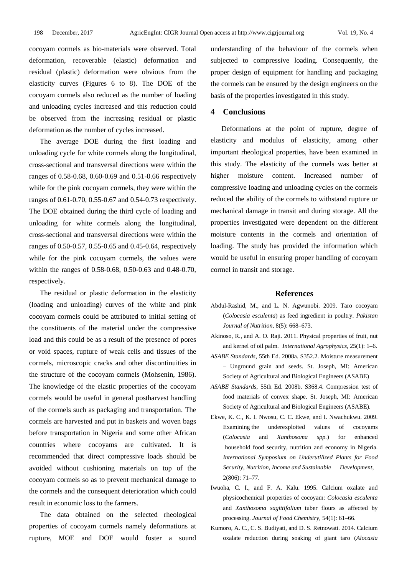cocoyam cormels as bio-materials were observed. Total deformation, recoverable (elastic) deformation and residual (plastic) deformation were obvious from the elasticity curves (Figures 6 to 8). The DOE of the cocoyam cormels also reduced as the number of loading and unloading cycles increased and this reduction could be observed from the increasing residual or plastic deformation as the number of cycles increased.

The average DOE during the first loading and unloading cycle for white cormels along the longitudinal, cross-sectional and transversal directions were within the ranges of 0.58-0.68, 0.60-0.69 and 0.51-0.66 respectively while for the pink cocoyam cormels, they were within the ranges of 0.61-0.70, 0.55-0.67 and 0.54-0.73 respectively. The DOE obtained during the third cycle of loading and unloading for white cormels along the longitudinal, cross-sectional and transversal directions were within the ranges of 0.50-0.57, 0.55-0.65 and 0.45-0.64, respectively while for the pink cocoyam cormels, the values were within the ranges of 0.58-0.68, 0.50-0.63 and 0.48-0.70, respectively.

The residual or plastic deformation in the elasticity (loading and unloading) curves of the white and pink cocoyam cormels could be attributed to initial setting of the constituents of the material under the compressive load and this could be as a result of the presence of pores or void spaces, rupture of weak cells and tissues of the cormels, microscopic cracks and other discontinuities in the structure of the cocoyam cormels (Mohsenin, 1986). The knowledge of the elastic properties of the cocoyam cormels would be useful in general postharvest handling of the cormels such as packaging and transportation. The cormels are harvested and put in baskets and woven bags before transportation in Nigeria and some other African countries where cocoyams are cultivated. It is recommended that direct compressive loads should be avoided without cushioning materials on top of the cocoyam cormels so as to prevent mechanical damage to the cormels and the consequent deterioration which could result in economic loss to the farmers.

The data obtained on the selected rheological properties of cocoyam cormels namely deformations at rupture, MOE and DOE would foster a sound

understanding of the behaviour of the cormels when subjected to compressive loading. Consequently, the proper design of equipment for handling and packaging the cormels can be ensured by the design engineers on the basis of the properties investigated in this study.

# **4 Conclusions**

Deformations at the point of rupture, degree of elasticity and modulus of elasticity, among other important rheological properties, have been examined in this study. The elasticity of the cormels was better at higher moisture content. Increased number of compressive loading and unloading cycles on the cormels reduced the ability of the cormels to withstand rupture or mechanical damage in transit and during storage. All the properties investigated were dependent on the different moisture contents in the cormels and orientation of loading. The study has provided the information which would be useful in ensuring proper handling of cocoyam cormel in transit and storage.

#### **References**

- Abdul-Rashid, M., and L. N. Agwunobi. 2009. Taro cocoyam (*Colocasia esculenta*) as feed ingredient in poultry. *Pakistan Journal of Nutrition,* 8(5): 668–673.
- Akinoso, R., and A. O. Raji. 2011. Physical properties of fruit, nut and kernel of oil palm. *International Agrophysics,* 25(1): 1–6.
- *ASABE Standards,* 55th Ed. 2008a. S352.2. Moisture measurement – Unground grain and seeds. St. Joseph, MI: American Society of Agricultural and Biological Engineers (ASABE)
- *ASABE Standards*, 55th Ed. 2008b. S368.4. Compression test of food materials of convex shape. St. Joseph, MI: American Society of Agricultural and Biological Engineers (ASABE).
- Ekwe, K. C., K. I. Nwosu, C. C. Ekwe, and I. Nwachukwu. 2009. Examining the underexploited values of cocoyams (*Colocasia* and *Xanthosoma spp.*) for enhanced household food security, nutrition and economy in Nigeria. *International Symposium on Underutilized Plants for Food Security, Nutrition, Income and Sustainable Development*, 2(806): 71–77.
- Iwuoha, C. I., and F. A. Kalu. 1995. Calcium oxalate and physicochemical properties of cocoyam: *Colocasia esculenta*  and *Xanthosoma sagittifolium* tuber flours as affected by processing. *Journal of Food Chemistry,* 54(1): 61–66.
- Kumoro, A. C., C. S. Budiyati, and D. S. Retnowati. 2014. Calcium oxalate reduction during soaking of giant taro (*Alocasia*